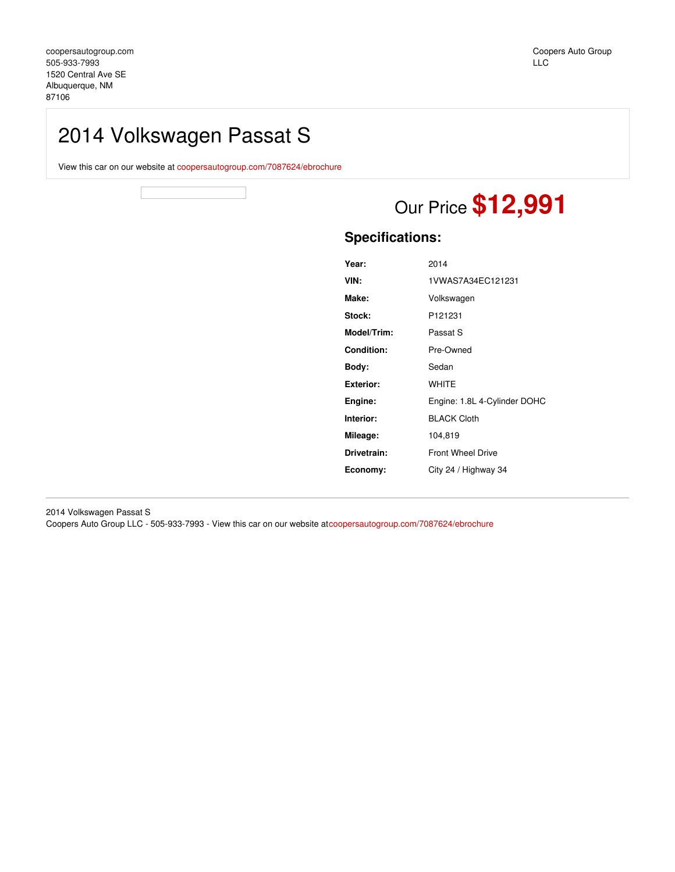## 2014 Volkswagen Passat S

View this car on our website at [coopersautogroup.com/7087624/ebrochure](https://coopersautogroup.com/vehicle/7087624/2014-volkswagen-passat-s-albuquerque-nm-87106/7087624/ebrochure)

# Our Price **\$12,991**

### **Specifications:**

| Year:             | 2014                         |
|-------------------|------------------------------|
| VIN:              | 1VWAS7A34EC121231            |
| Make:             | Volkswagen                   |
| Stock:            | P <sub>121231</sub>          |
| Model/Trim:       | Passat S                     |
| <b>Condition:</b> | Pre-Owned                    |
| Body:             | Sedan                        |
| <b>Exterior:</b>  | <b>WHITE</b>                 |
| Engine:           | Engine: 1.8L 4-Cylinder DOHC |
| Interior:         | <b>BLACK Cloth</b>           |
| Mileage:          | 104,819                      |
| Drivetrain:       | <b>Front Wheel Drive</b>     |
| Economy:          | City 24 / Highway 34         |
|                   |                              |

2014 Volkswagen Passat S Coopers Auto Group LLC - 505-933-7993 - View this car on our website at[coopersautogroup.com/7087624/ebrochure](https://coopersautogroup.com/vehicle/7087624/2014-volkswagen-passat-s-albuquerque-nm-87106/7087624/ebrochure)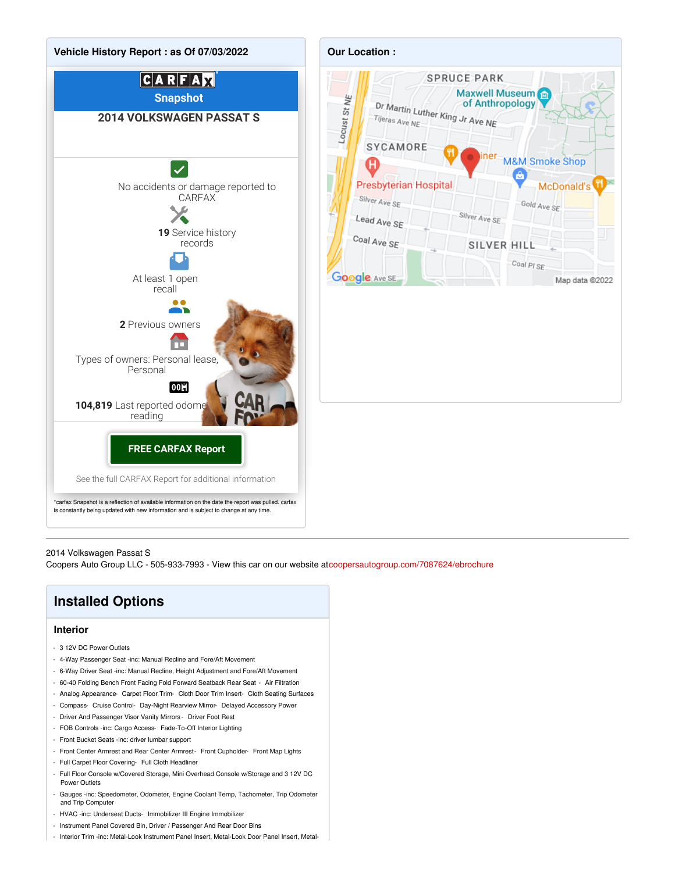

### 2014 Volkswagen Passat S

Coopers Auto Group LLC - 505-933-7993 - View this car on our website at[coopersautogroup.com/7087624/ebrochure](https://coopersautogroup.com/vehicle/7087624/2014-volkswagen-passat-s-albuquerque-nm-87106/7087624/ebrochure)

## **Installed Options**

### **Interior**

- 3 12V DC Power Outlets
- 4-Way Passenger Seat -inc: Manual Recline and Fore/Aft Movement
- 6-Way Driver Seat -inc: Manual Recline, Height Adjustment and Fore/Aft Movement
- 60-40 Folding Bench Front Facing Fold Forward Seatback Rear Seat Air Filtration
- Analog Appearance- Carpet Floor Trim- Cloth Door Trim Insert- Cloth Seating Surfaces
- Compass- Cruise Control- Day-Night Rearview Mirror- Delayed Accessory Power
- Driver And Passenger Visor Vanity Mirrors Driver Foot Rest
- FOB Controls -inc: Cargo Access- Fade-To-Off Interior Lighting
- Front Bucket Seats -inc: driver lumbar support
- Front Center Armrest and Rear Center Armrest- Front Cupholder- Front Map Lights
- Full Carpet Floor Covering- Full Cloth Headliner
- Full Floor Console w/Covered Storage, Mini Overhead Console w/Storage and 3 12V DC Power Outlets
- Gauges -inc: Speedometer, Odometer, Engine Coolant Temp, Tachometer, Trip Odometer and Trip Computer
- HVAC -inc: Underseat Ducts- Immobilizer III Engine Immobilizer
- Instrument Panel Covered Bin, Driver / Passenger And Rear Door Bins
- Interior Trim -inc: Metal-Look Instrument Panel Insert, Metal-Look Door Panel Insert, Metal-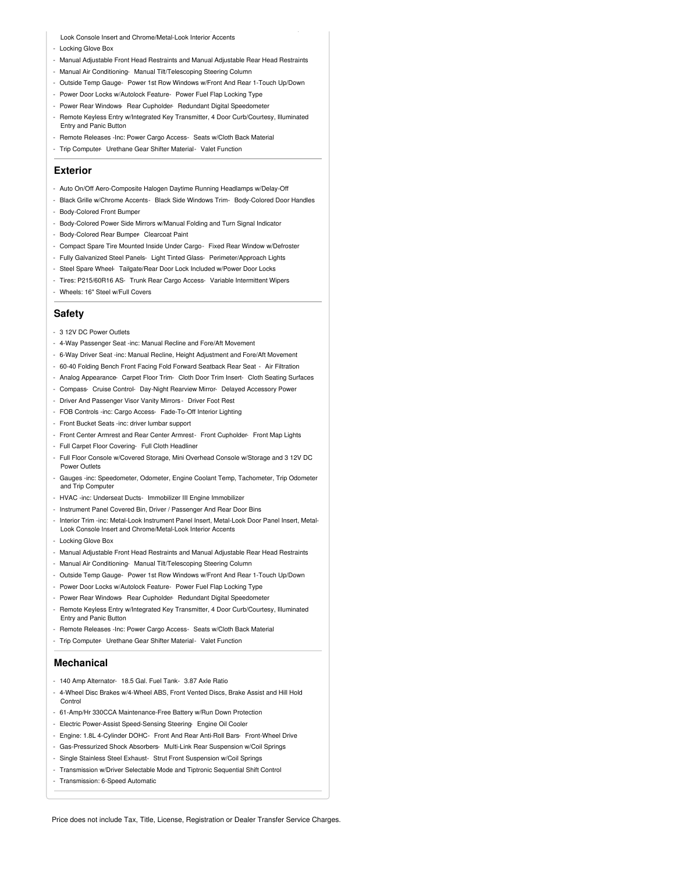Look Console Insert and Chrome/Metal-Look Interior Accents

- Locking Glove Box
- Manual Adjustable Front Head Restraints and Manual Adjustable Rear Head Restraints

- Interior Trim -inc: Metal-Look Instrument Panel Insert, Metal-Look Door Panel Insert, Metal-

- Manual Air Conditioning- Manual Tilt/Telescoping Steering Column
- Outside Temp Gauge- Power 1st Row Windows w/Front And Rear 1-Touch Up/Down
- Power Door Locks w/Autolock Feature- Power Fuel Flap Locking Type
- Power Rear Windows- Rear Cupholder- Redundant Digital Speedometer
- Remote Keyless Entry w/Integrated Key Transmitter, 4 Door Curb/Courtesy, Illuminated Entry and Panic Button
- Remote Releases -Inc: Power Cargo Access- Seats w/Cloth Back Material
- Trip Computer- Urethane Gear Shifter Material- Valet Function

### **Exterior**

- Auto On/Off Aero-Composite Halogen Daytime Running Headlamps w/Delay-Off
- Black Grille w/Chrome Accents- Black Side Windows Trim- Body-Colored Door Handles
- Body-Colored Front Bumper
- Body-Colored Power Side Mirrors w/Manual Folding and Turn Signal Indicator
- Body-Colored Rear Bumper Clearcoat Paint
- Compact Spare Tire Mounted Inside Under Cargo- Fixed Rear Window w/Defroster
- Fully Galvanized Steel Panels- Light Tinted Glass- Perimeter/Approach Lights
- Steel Spare Wheel- Tailgate/Rear Door Lock Included w/Power Door Locks
- Tires: P215/60R16 AS- Trunk Rear Cargo Access- Variable Intermittent Wipers
- Wheels: 16" Steel w/Full Covers

### **Safety**

- 3 12V DC Power Outlets
- 4-Way Passenger Seat -inc: Manual Recline and Fore/Aft Movement
- 6-Way Driver Seat -inc: Manual Recline, Height Adjustment and Fore/Aft Movement
- 60-40 Folding Bench Front Facing Fold Forward Seatback Rear Seat Air Filtration
- Analog Appearance- Carpet Floor Trim- Cloth Door Trim Insert- Cloth Seating Surfaces
- Compass- Cruise Control- Day-Night Rearview Mirror- Delayed Accessory Power
- Driver And Passenger Visor Vanity Mirrors Driver Foot Rest
- FOB Controls -inc: Cargo Access- Fade-To-Off Interior Lighting
- Front Bucket Seats -inc: driver lumbar support
- Front Center Armrest and Rear Center Armrest- Front Cupholder- Front Map Lights
- Full Carpet Floor Covering- Full Cloth Headliner
- Full Floor Console w/Covered Storage, Mini Overhead Console w/Storage and 3 12V DC Power Outlets
- Gauges -inc: Speedometer, Odometer, Engine Coolant Temp, Tachometer, Trip Odometer and Trip Computer
- HVAC -inc: Underseat Ducts- Immobilizer III Engine Immobilizer
- Instrument Panel Covered Bin, Driver / Passenger And Rear Door Bins
- Interior Trim -inc: Metal-Look Instrument Panel Insert, Metal-Look Door Panel Insert, Metal-Look Console Insert and Chrome/Metal-Look Interior Accents
- Locking Glove Box
- Manual Adjustable Front Head Restraints and Manual Adjustable Rear Head Restraints
- Manual Air Conditioning- Manual Tilt/Telescoping Steering Column
- Outside Temp Gauge- Power 1st Row Windows w/Front And Rear 1-Touch Up/Down
- Power Door Locks w/Autolock Feature- Power Fuel Flap Locking Type
- Power Rear Windows- Rear Cupholder- Redundant Digital Speedometer
- Remote Keyless Entry w/Integrated Key Transmitter, 4 Door Curb/Courtesy, Illuminated Entry and Panic Button
- Remote Releases -Inc: Power Cargo Access- Seats w/Cloth Back Material
- Trip Computer- Urethane Gear Shifter Material- Valet Function

#### **Mechanical**

- 140 Amp Alternator- 18.5 Gal. Fuel Tank- 3.87 Axle Ratio
- 4-Wheel Disc Brakes w/4-Wheel ABS, Front Vented Discs, Brake Assist and Hill Hold Control
- 61-Amp/Hr 330CCA Maintenance-Free Battery w/Run Down Protection
- Electric Power-Assist Speed-Sensing Steering- Engine Oil Cooler
- Engine: 1.8L 4-Cylinder DOHC- Front And Rear Anti-Roll Bars- Front-Wheel Drive
- Gas-Pressurized Shock Absorbers- Multi-Link Rear Suspension w/Coil Springs
- Single Stainless Steel Exhaust- Strut Front Suspension w/Coil Springs
- Transmission w/Driver Selectable Mode and Tiptronic Sequential Shift Control
- Transmission: 6-Speed Automatic